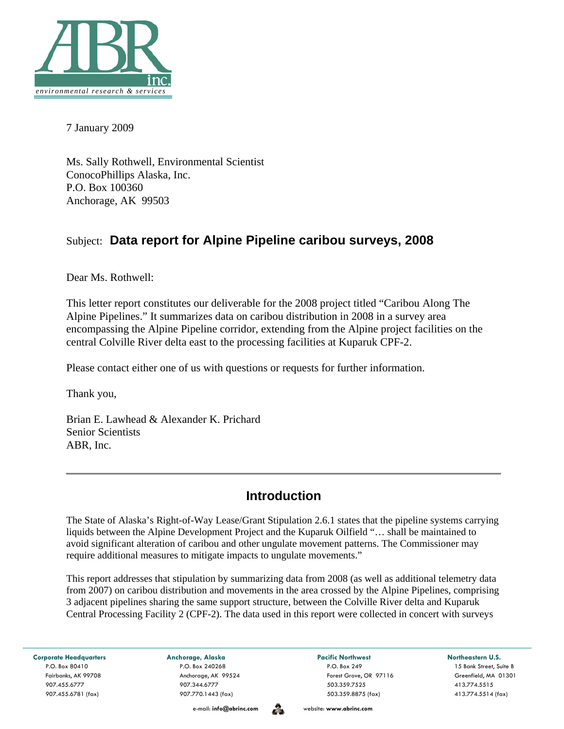

7 January 2009

Ms. Sally Rothwell, Environmental Scientist ConocoPhillips Alaska, Inc. P.O. Box 100360 Anchorage, AK 99503

## Subject: **Data report for Alpine Pipeline caribou surveys, 2008**

Dear Ms. Rothwell:

This letter report constitutes our deliverable for the 2008 project titled "Caribou Along The Alpine Pipelines." It summarizes data on caribou distribution in 2008 in a survey area encompassing the Alpine Pipeline corridor, extending from the Alpine project facilities on the central Colville River delta east to the processing facilities at Kuparuk CPF-2.

Please contact either one of us with questions or requests for further information.

Thank you,

Brian E. Lawhead & Alexander K. Prichard Senior Scientists ABR, Inc.

# **Introduction**

The State of Alaska's Right-of-Way Lease/Grant Stipulation 2.6.1 states that the pipeline systems carrying liquids between the Alpine Development Project and the Kuparuk Oilfield "… shall be maintained to avoid significant alteration of caribou and other ungulate movement patterns. The Commissioner may require additional measures to mitigate impacts to ungulate movements."

This report addresses that stipulation by summarizing data from 2008 (as well as additional telemetry data from 2007) on caribou distribution and movements in the area crossed by the Alpine Pipelines, comprising 3 adjacent pipelines sharing the same support structure, between the Colville River delta and Kuparuk Central Processing Facility 2 (CPF-2). The data used in this report were collected in concert with surveys

Corporate Headquarters **Anchorage, Alaska Pacific Northwest Pacific Northwest Northeastern U.S.** 

907.455.6781 (fax) 907.770.1443 (fax) 503.359.8875 (fax) 413.774.5514 (fax)

P.O. Box 80410 P.O. Box 240268 P.O. Box 249 15 Bank Street, Suite B Fairbanks, AK 99708 Anchorage, AK 99524 Forest Grove, OR 97116 Greenfield, MA 01301 907.455.6777 907.344.6777 503.359.7525 413.774.5515

e-mail: **info@abrinc.com** website: **www.abrinc.com**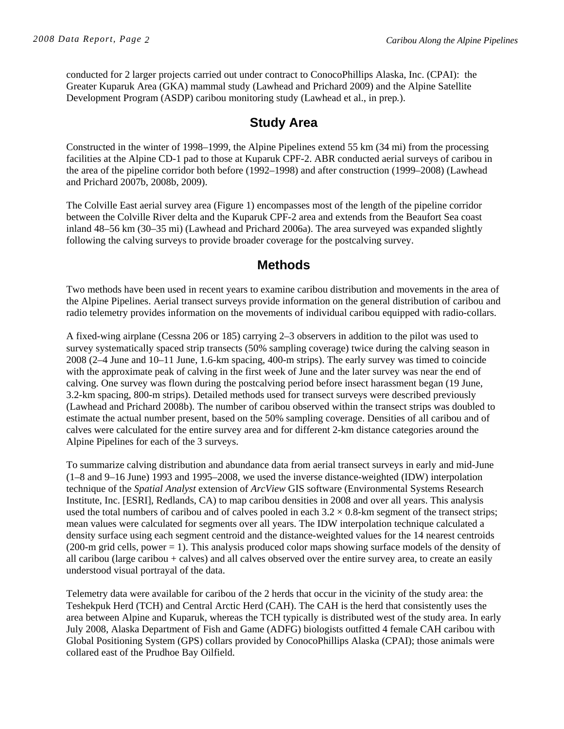conducted for 2 larger projects carried out under contract to ConocoPhillips Alaska, Inc. (CPAI): the Greater Kuparuk Area (GKA) mammal study (Lawhead and Prichard 2009) and the Alpine Satellite Development Program (ASDP) caribou monitoring study (Lawhead et al., in prep*.*).

### **Study Area**

Constructed in the winter of 1998–1999, the Alpine Pipelines extend 55 km (34 mi) from the processing facilities at the Alpine CD-1 pad to those at Kuparuk CPF-2. ABR conducted aerial surveys of caribou in the area of the pipeline corridor both before (1992–1998) and after construction (1999–2008) (Lawhead and Prichard 2007b, 2008b, 2009).

The Colville East aerial survey area (Figure 1) encompasses most of the length of the pipeline corridor between the Colville River delta and the Kuparuk CPF-2 area and extends from the Beaufort Sea coast inland 48–56 km (30–35 mi) (Lawhead and Prichard 2006a). The area surveyed was expanded slightly following the calving surveys to provide broader coverage for the postcalving survey.

## **Methods**

Two methods have been used in recent years to examine caribou distribution and movements in the area of the Alpine Pipelines. Aerial transect surveys provide information on the general distribution of caribou and radio telemetry provides information on the movements of individual caribou equipped with radio-collars.

A fixed-wing airplane (Cessna 206 or 185) carrying 2–3 observers in addition to the pilot was used to survey systematically spaced strip transects (50% sampling coverage) twice during the calving season in 2008 (2–4 June and 10–11 June, 1.6-km spacing, 400-m strips). The early survey was timed to coincide with the approximate peak of calving in the first week of June and the later survey was near the end of calving. One survey was flown during the postcalving period before insect harassment began (19 June, 3.2-km spacing, 800-m strips). Detailed methods used for transect surveys were described previously (Lawhead and Prichard 2008b). The number of caribou observed within the transect strips was doubled to estimate the actual number present, based on the 50% sampling coverage. Densities of all caribou and of calves were calculated for the entire survey area and for different 2-km distance categories around the Alpine Pipelines for each of the 3 surveys.

To summarize calving distribution and abundance data from aerial transect surveys in early and mid-June (1–8 and 9–16 June) 1993 and 1995–2008, we used the inverse distance-weighted (IDW) interpolation technique of the *Spatial Analyst* extension of *ArcView* GIS software (Environmental Systems Research Institute, Inc. [ESRI], Redlands, CA) to map caribou densities in 2008 and over all years. This analysis used the total numbers of caribou and of calves pooled in each  $3.2 \times 0.8$ -km segment of the transect strips; mean values were calculated for segments over all years. The IDW interpolation technique calculated a density surface using each segment centroid and the distance-weighted values for the 14 nearest centroids (200-m grid cells, power = 1). This analysis produced color maps showing surface models of the density of all caribou (large caribou + calves) and all calves observed over the entire survey area, to create an easily understood visual portrayal of the data.

Telemetry data were available for caribou of the 2 herds that occur in the vicinity of the study area: the Teshekpuk Herd (TCH) and Central Arctic Herd (CAH). The CAH is the herd that consistently uses the area between Alpine and Kuparuk, whereas the TCH typically is distributed west of the study area. In early July 2008, Alaska Department of Fish and Game (ADFG) biologists outfitted 4 female CAH caribou with Global Positioning System (GPS) collars provided by ConocoPhillips Alaska (CPAI); those animals were collared east of the Prudhoe Bay Oilfield.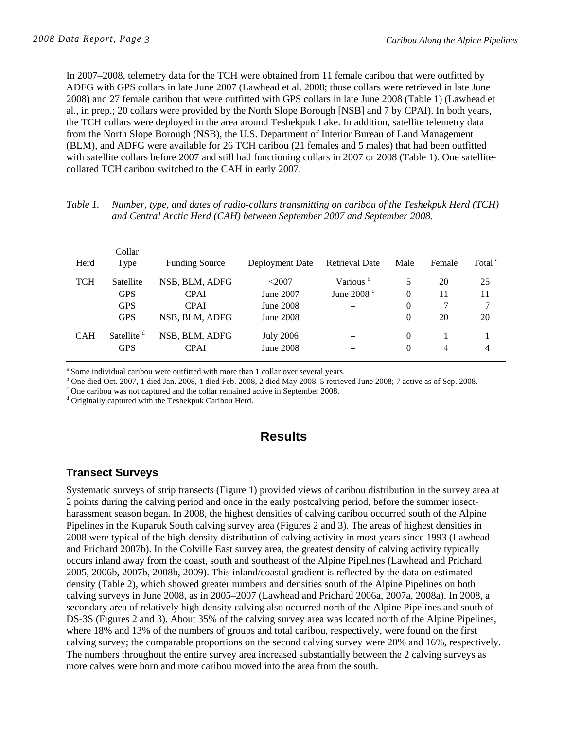In 2007–2008, telemetry data for the TCH were obtained from 11 female caribou that were outfitted by ADFG with GPS collars in late June 2007 (Lawhead et al. 2008; those collars were retrieved in late June 2008) and 27 female caribou that were outfitted with GPS collars in late June 2008 (Table 1) (Lawhead et al., in prep.; 20 collars were provided by the North Slope Borough [NSB] and 7 by CPAI). In both years, the TCH collars were deployed in the area around Teshekpuk Lake. In addition, satellite telemetry data from the North Slope Borough (NSB), the U.S. Department of Interior Bureau of Land Management (BLM), and ADFG were available for 26 TCH caribou (21 females and 5 males) that had been outfitted with satellite collars before 2007 and still had functioning collars in 2007 or 2008 (Table 1). One satellitecollared TCH caribou switched to the CAH in early 2007.

| Table 1. | Number, type, and dates of radio-collars transmitting on caribou of the Teshekpuk Herd (TCH) |
|----------|----------------------------------------------------------------------------------------------|
|          | and Central Arctic Herd (CAH) between September 2007 and September 2008.                     |

|            | Collar                 |                       |                  |                      |          |        |                    |
|------------|------------------------|-----------------------|------------------|----------------------|----------|--------|--------------------|
| Herd       | Type                   | <b>Funding Source</b> | Deployment Date  | Retrieval Date       | Male     | Female | Total <sup>a</sup> |
| TCH        | Satellite              | NSB, BLM, ADFG        | $<$ 2007         | Various <sup>b</sup> | 5        | 20     | 25                 |
|            | <b>GPS</b>             | <b>CPAI</b>           | June 2007        | June 2008 $^{\circ}$ | $\theta$ | 11     | 11                 |
|            | <b>GPS</b>             | <b>CPAI</b>           | June 2008        |                      | 0        | 7      | 7                  |
|            | <b>GPS</b>             | NSB, BLM, ADFG        | June 2008        |                      | 0        | 20     | 20                 |
| <b>CAH</b> | Satellite <sup>d</sup> | NSB, BLM, ADFG        | <b>July 2006</b> |                      | $\Omega$ |        |                    |
|            | <b>GPS</b>             | <b>CPAI</b>           | June 2008        |                      | 0        | 4      | 4                  |
|            |                        |                       |                  |                      |          |        |                    |

<sup>a</sup> Some individual caribou were outfitted with more than 1 collar over several years.<br><sup>b</sup> Ope died Oet 2007, 1 died Jan 2008, 1 died Eeb 2008, 2 died May 2008, 5 retriev

<sup>b</sup> One died Oct. 2007, 1 died Jan. 2008, 1 died Feb. 2008, 2 died May 2008, 5 retrieved June 2008; 7 active as of Sep. 2008.

 $\degree$  One caribou was not captured and the collar remained active in September 2008.

<sup>d</sup> Originally captured with the Teshekpuk Caribou Herd.

#### **Results**

#### **Transect Surveys**

Systematic surveys of strip transects (Figure 1) provided views of caribou distribution in the survey area at 2 points during the calving period and once in the early postcalving period, before the summer insectharassment season began. In 2008, the highest densities of calving caribou occurred south of the Alpine Pipelines in the Kuparuk South calving survey area (Figures 2 and 3). The areas of highest densities in 2008 were typical of the high-density distribution of calving activity in most years since 1993 (Lawhead and Prichard 2007b). In the Colville East survey area, the greatest density of calving activity typically occurs inland away from the coast, south and southeast of the Alpine Pipelines (Lawhead and Prichard 2005, 2006b, 2007b, 2008b, 2009). This inland/coastal gradient is reflected by the data on estimated density (Table 2), which showed greater numbers and densities south of the Alpine Pipelines on both calving surveys in June 2008, as in 2005–2007 (Lawhead and Prichard 2006a, 2007a, 2008a). In 2008, a secondary area of relatively high-density calving also occurred north of the Alpine Pipelines and south of DS-3S (Figures 2 and 3). About 35% of the calving survey area was located north of the Alpine Pipelines, where 18% and 13% of the numbers of groups and total caribou, respectively, were found on the first calving survey; the comparable proportions on the second calving survey were 20% and 16%, respectively. The numbers throughout the entire survey area increased substantially between the 2 calving surveys as more calves were born and more caribou moved into the area from the south.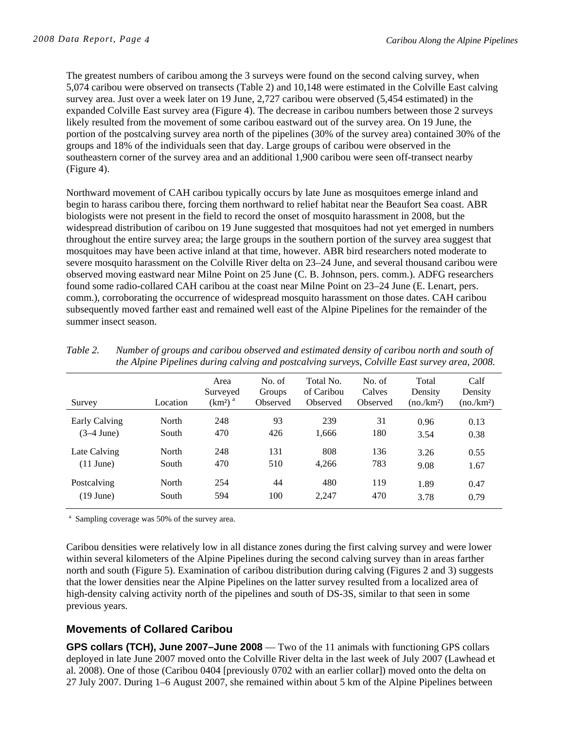The greatest numbers of caribou among the 3 surveys were found on the second calving survey, when 5,074 caribou were observed on transects (Table 2) and 10,148 were estimated in the Colville East calving survey area. Just over a week later on 19 June, 2,727 caribou were observed (5,454 estimated) in the expanded Colville East survey area (Figure 4). The decrease in caribou numbers between those 2 surveys likely resulted from the movement of some caribou eastward out of the survey area. On 19 June, the portion of the postcalving survey area north of the pipelines (30% of the survey area) contained 30% of the groups and 18% of the individuals seen that day. Large groups of caribou were observed in the southeastern corner of the survey area and an additional 1,900 caribou were seen off-transect nearby (Figure 4).

Northward movement of CAH caribou typically occurs by late June as mosquitoes emerge inland and begin to harass caribou there, forcing them northward to relief habitat near the Beaufort Sea coast. ABR biologists were not present in the field to record the onset of mosquito harassment in 2008, but the widespread distribution of caribou on 19 June suggested that mosquitoes had not yet emerged in numbers throughout the entire survey area; the large groups in the southern portion of the survey area suggest that mosquitoes may have been active inland at that time, however. ABR bird researchers noted moderate to severe mosquito harassment on the Colville River delta on 23–24 June, and several thousand caribou were observed moving eastward near Milne Point on 25 June (C. B. Johnson, pers. comm.). ADFG researchers found some radio-collared CAH caribou at the coast near Milne Point on 23–24 June (E. Lenart, pers. comm.), corroborating the occurrence of widespread mosquito harassment on those dates. CAH caribou subsequently moved farther east and remained well east of the Alpine Pipelines for the remainder of the summer insect season.

| Survey              | Location | Area<br>Surveyed<br>$(km2)$ <sup>a</sup> | No. of<br>Groups<br>Observed | Total No.<br>of Caribou<br>Observed | No. of<br>Calves<br>Observed | Total<br>Density<br>(no/km <sup>2</sup> ) | Calf<br>Density<br>(no/km <sup>2</sup> ) |
|---------------------|----------|------------------------------------------|------------------------------|-------------------------------------|------------------------------|-------------------------------------------|------------------------------------------|
| Early Calving       | North    | 248                                      | 93                           | 239                                 | 31                           | 0.96                                      | 0.13                                     |
| $(3-4$ June)        | South    | 470                                      | 426                          | 1,666                               | 180                          | 3.54                                      | 0.38                                     |
| Late Calving        | North    | 248                                      | 131                          | 808                                 | 136                          | 3.26                                      | 0.55                                     |
| $(11$ June)         | South    | 470                                      | 510                          | 4,266                               | 783                          | 9.08                                      | 1.67                                     |
| Postcalving         | North    | 254                                      | 44                           | 480                                 | 119                          | 1.89                                      | 0.47                                     |
| $(19 \text{ June})$ | South    | 594                                      | 100                          | 2,247                               | 470                          | 3.78                                      | 0.79                                     |

| Table 2. | Number of groups and caribou observed and estimated density of caribou north and south of     |
|----------|-----------------------------------------------------------------------------------------------|
|          | the Alpine Pipelines during calving and postcalving surveys, Colville East survey area, 2008. |

<sup>a</sup> Sampling coverage was 50% of the survey area.

Caribou densities were relatively low in all distance zones during the first calving survey and were lower within several kilometers of the Alpine Pipelines during the second calving survey than in areas farther north and south (Figure 5). Examination of caribou distribution during calving (Figures 2 and 3) suggests that the lower densities near the Alpine Pipelines on the latter survey resulted from a localized area of high-density calving activity north of the pipelines and south of DS-3S, similar to that seen in some previous years.

#### **Movements of Collared Caribou**

**GPS collars (TCH), June 2007–June 2008** — Two of the 11 animals with functioning GPS collars deployed in late June 2007 moved onto the Colville River delta in the last week of July 2007 (Lawhead et al. 2008). One of those (Caribou 0404 [previously 0702 with an earlier collar]) moved onto the delta on 27 July 2007. During 1–6 August 2007, she remained within about 5 km of the Alpine Pipelines between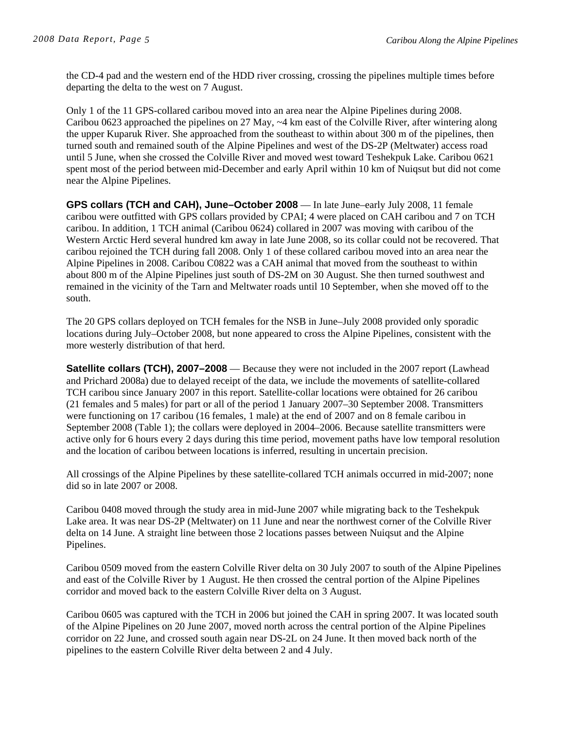the CD-4 pad and the western end of the HDD river crossing, crossing the pipelines multiple times before departing the delta to the west on 7 August.

Only 1 of the 11 GPS-collared caribou moved into an area near the Alpine Pipelines during 2008. Caribou 0623 approached the pipelines on 27 May, ~4 km east of the Colville River, after wintering along the upper Kuparuk River. She approached from the southeast to within about 300 m of the pipelines, then turned south and remained south of the Alpine Pipelines and west of the DS-2P (Meltwater) access road until 5 June, when she crossed the Colville River and moved west toward Teshekpuk Lake. Caribou 0621 spent most of the period between mid-December and early April within 10 km of Nuiqsut but did not come near the Alpine Pipelines.

**GPS collars (TCH and CAH), June–October 2008** — In late June–early July 2008, 11 female caribou were outfitted with GPS collars provided by CPAI; 4 were placed on CAH caribou and 7 on TCH caribou. In addition, 1 TCH animal (Caribou 0624) collared in 2007 was moving with caribou of the Western Arctic Herd several hundred km away in late June 2008, so its collar could not be recovered. That caribou rejoined the TCH during fall 2008. Only 1 of these collared caribou moved into an area near the Alpine Pipelines in 2008. Caribou C0822 was a CAH animal that moved from the southeast to within about 800 m of the Alpine Pipelines just south of DS-2M on 30 August. She then turned southwest and remained in the vicinity of the Tarn and Meltwater roads until 10 September, when she moved off to the south.

The 20 GPS collars deployed on TCH females for the NSB in June–July 2008 provided only sporadic locations during July–October 2008, but none appeared to cross the Alpine Pipelines, consistent with the more westerly distribution of that herd.

**Satellite collars (TCH), 2007–2008** — Because they were not included in the 2007 report (Lawhead and Prichard 2008a) due to delayed receipt of the data, we include the movements of satellite-collared TCH caribou since January 2007 in this report. Satellite-collar locations were obtained for 26 caribou (21 females and 5 males) for part or all of the period 1 January 2007–30 September 2008. Transmitters were functioning on 17 caribou (16 females, 1 male) at the end of 2007 and on 8 female caribou in September 2008 (Table 1); the collars were deployed in 2004–2006. Because satellite transmitters were active only for 6 hours every 2 days during this time period, movement paths have low temporal resolution and the location of caribou between locations is inferred, resulting in uncertain precision.

All crossings of the Alpine Pipelines by these satellite-collared TCH animals occurred in mid-2007; none did so in late 2007 or 2008.

Caribou 0408 moved through the study area in mid-June 2007 while migrating back to the Teshekpuk Lake area. It was near DS-2P (Meltwater) on 11 June and near the northwest corner of the Colville River delta on 14 June. A straight line between those 2 locations passes between Nuiqsut and the Alpine Pipelines.

Caribou 0509 moved from the eastern Colville River delta on 30 July 2007 to south of the Alpine Pipelines and east of the Colville River by 1 August. He then crossed the central portion of the Alpine Pipelines corridor and moved back to the eastern Colville River delta on 3 August.

Caribou 0605 was captured with the TCH in 2006 but joined the CAH in spring 2007. It was located south of the Alpine Pipelines on 20 June 2007, moved north across the central portion of the Alpine Pipelines corridor on 22 June, and crossed south again near DS-2L on 24 June. It then moved back north of the pipelines to the eastern Colville River delta between 2 and 4 July.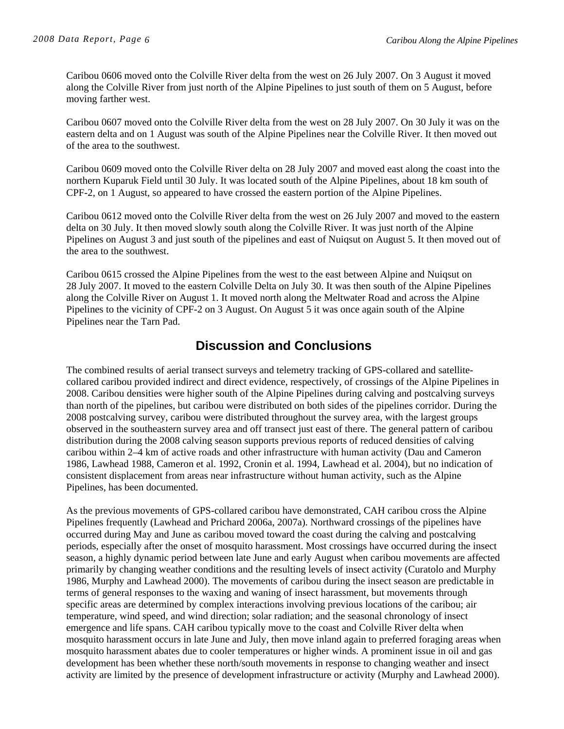Caribou 0606 moved onto the Colville River delta from the west on 26 July 2007. On 3 August it moved along the Colville River from just north of the Alpine Pipelines to just south of them on 5 August, before moving farther west.

Caribou 0607 moved onto the Colville River delta from the west on 28 July 2007. On 30 July it was on the eastern delta and on 1 August was south of the Alpine Pipelines near the Colville River. It then moved out of the area to the southwest.

Caribou 0609 moved onto the Colville River delta on 28 July 2007 and moved east along the coast into the northern Kuparuk Field until 30 July. It was located south of the Alpine Pipelines, about 18 km south of CPF-2, on 1 August, so appeared to have crossed the eastern portion of the Alpine Pipelines.

Caribou 0612 moved onto the Colville River delta from the west on 26 July 2007 and moved to the eastern delta on 30 July. It then moved slowly south along the Colville River. It was just north of the Alpine Pipelines on August 3 and just south of the pipelines and east of Nuiqsut on August 5. It then moved out of the area to the southwest.

Caribou 0615 crossed the Alpine Pipelines from the west to the east between Alpine and Nuiqsut on 28 July 2007. It moved to the eastern Colville Delta on July 30. It was then south of the Alpine Pipelines along the Colville River on August 1. It moved north along the Meltwater Road and across the Alpine Pipelines to the vicinity of CPF-2 on 3 August. On August 5 it was once again south of the Alpine Pipelines near the Tarn Pad.

## **Discussion and Conclusions**

The combined results of aerial transect surveys and telemetry tracking of GPS-collared and satellitecollared caribou provided indirect and direct evidence, respectively, of crossings of the Alpine Pipelines in 2008. Caribou densities were higher south of the Alpine Pipelines during calving and postcalving surveys than north of the pipelines, but caribou were distributed on both sides of the pipelines corridor. During the 2008 postcalving survey, caribou were distributed throughout the survey area, with the largest groups observed in the southeastern survey area and off transect just east of there. The general pattern of caribou distribution during the 2008 calving season supports previous reports of reduced densities of calving caribou within 2–4 km of active roads and other infrastructure with human activity (Dau and Cameron 1986, Lawhead 1988, Cameron et al. 1992, Cronin et al. 1994, Lawhead et al. 2004), but no indication of consistent displacement from areas near infrastructure without human activity, such as the Alpine Pipelines, has been documented.

As the previous movements of GPS-collared caribou have demonstrated, CAH caribou cross the Alpine Pipelines frequently (Lawhead and Prichard 2006a, 2007a). Northward crossings of the pipelines have occurred during May and June as caribou moved toward the coast during the calving and postcalving periods, especially after the onset of mosquito harassment. Most crossings have occurred during the insect season, a highly dynamic period between late June and early August when caribou movements are affected primarily by changing weather conditions and the resulting levels of insect activity (Curatolo and Murphy 1986, Murphy and Lawhead 2000). The movements of caribou during the insect season are predictable in terms of general responses to the waxing and waning of insect harassment, but movements through specific areas are determined by complex interactions involving previous locations of the caribou; air temperature, wind speed, and wind direction; solar radiation; and the seasonal chronology of insect emergence and life spans. CAH caribou typically move to the coast and Colville River delta when mosquito harassment occurs in late June and July, then move inland again to preferred foraging areas when mosquito harassment abates due to cooler temperatures or higher winds. A prominent issue in oil and gas development has been whether these north/south movements in response to changing weather and insect activity are limited by the presence of development infrastructure or activity (Murphy and Lawhead 2000).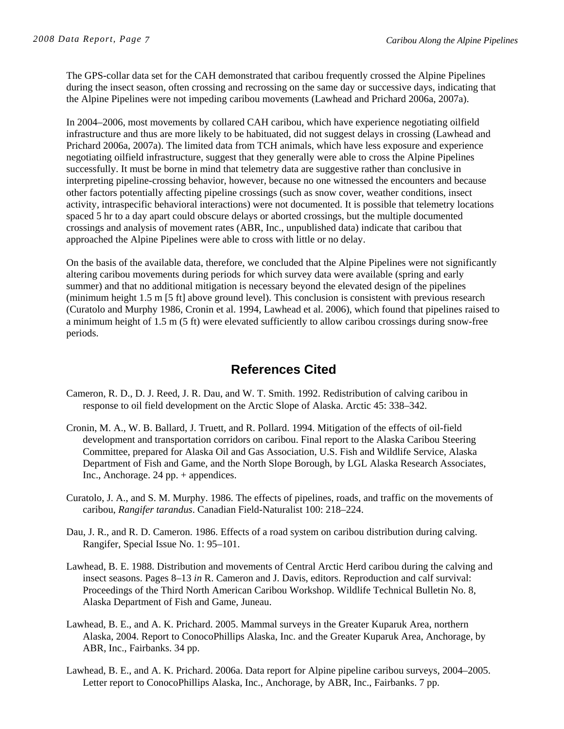The GPS-collar data set for the CAH demonstrated that caribou frequently crossed the Alpine Pipelines during the insect season, often crossing and recrossing on the same day or successive days, indicating that the Alpine Pipelines were not impeding caribou movements (Lawhead and Prichard 2006a, 2007a).

In 2004–2006, most movements by collared CAH caribou, which have experience negotiating oilfield infrastructure and thus are more likely to be habituated, did not suggest delays in crossing (Lawhead and Prichard 2006a, 2007a). The limited data from TCH animals, which have less exposure and experience negotiating oilfield infrastructure, suggest that they generally were able to cross the Alpine Pipelines successfully. It must be borne in mind that telemetry data are suggestive rather than conclusive in interpreting pipeline-crossing behavior, however, because no one witnessed the encounters and because other factors potentially affecting pipeline crossings (such as snow cover, weather conditions, insect activity, intraspecific behavioral interactions) were not documented. It is possible that telemetry locations spaced 5 hr to a day apart could obscure delays or aborted crossings, but the multiple documented crossings and analysis of movement rates (ABR, Inc., unpublished data) indicate that caribou that approached the Alpine Pipelines were able to cross with little or no delay.

On the basis of the available data, therefore, we concluded that the Alpine Pipelines were not significantly altering caribou movements during periods for which survey data were available (spring and early summer) and that no additional mitigation is necessary beyond the elevated design of the pipelines (minimum height 1.5 m [5 ft] above ground level). This conclusion is consistent with previous research (Curatolo and Murphy 1986, Cronin et al. 1994, Lawhead et al. 2006), which found that pipelines raised to a minimum height of 1.5 m (5 ft) were elevated sufficiently to allow caribou crossings during snow-free periods.

# **References Cited**

- Cameron, R. D., D. J. Reed, J. R. Dau, and W. T. Smith. 1992. Redistribution of calving caribou in response to oil field development on the Arctic Slope of Alaska. Arctic 45: 338–342.
- Cronin, M. A., W. B. Ballard, J. Truett, and R. Pollard. 1994. Mitigation of the effects of oil-field development and transportation corridors on caribou. Final report to the Alaska Caribou Steering Committee, prepared for Alaska Oil and Gas Association, U.S. Fish and Wildlife Service, Alaska Department of Fish and Game, and the North Slope Borough, by LGL Alaska Research Associates, Inc., Anchorage. 24 pp. + appendices.
- Curatolo, J. A., and S. M. Murphy. 1986. The effects of pipelines, roads, and traffic on the movements of caribou, *Rangifer tarandus*. Canadian Field-Naturalist 100: 218–224.
- Dau, J. R., and R. D. Cameron. 1986. Effects of a road system on caribou distribution during calving. Rangifer, Special Issue No. 1: 95–101.
- Lawhead, B. E. 1988. Distribution and movements of Central Arctic Herd caribou during the calving and insect seasons. Pages 8–13 *in* R. Cameron and J. Davis, editors. Reproduction and calf survival: Proceedings of the Third North American Caribou Workshop. Wildlife Technical Bulletin No. 8, Alaska Department of Fish and Game, Juneau.
- Lawhead, B. E., and A. K. Prichard. 2005. Mammal surveys in the Greater Kuparuk Area, northern Alaska, 2004. Report to ConocoPhillips Alaska, Inc. and the Greater Kuparuk Area, Anchorage, by ABR, Inc., Fairbanks. 34 pp.
- Lawhead, B. E., and A. K. Prichard. 2006a. Data report for Alpine pipeline caribou surveys, 2004–2005. Letter report to ConocoPhillips Alaska, Inc., Anchorage, by ABR, Inc., Fairbanks. 7 pp.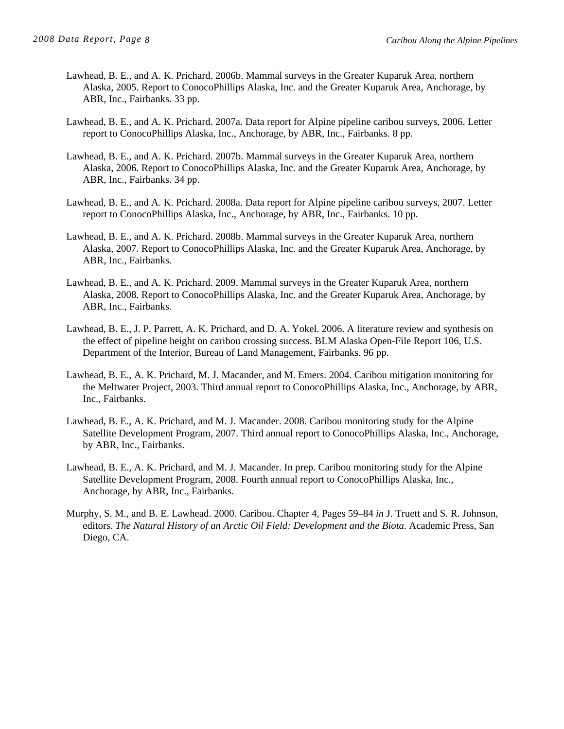- Lawhead, B. E., and A. K. Prichard. 2006b. Mammal surveys in the Greater Kuparuk Area, northern Alaska, 2005. Report to ConocoPhillips Alaska, Inc. and the Greater Kuparuk Area, Anchorage, by ABR, Inc., Fairbanks. 33 pp.
- Lawhead, B. E., and A. K. Prichard. 2007a. Data report for Alpine pipeline caribou surveys, 2006. Letter report to ConocoPhillips Alaska, Inc., Anchorage, by ABR, Inc., Fairbanks. 8 pp.
- Lawhead, B. E., and A. K. Prichard. 2007b. Mammal surveys in the Greater Kuparuk Area, northern Alaska, 2006. Report to ConocoPhillips Alaska, Inc. and the Greater Kuparuk Area, Anchorage, by ABR, Inc., Fairbanks. 34 pp.
- Lawhead, B. E., and A. K. Prichard. 2008a. Data report for Alpine pipeline caribou surveys, 2007. Letter report to ConocoPhillips Alaska, Inc., Anchorage, by ABR, Inc., Fairbanks. 10 pp.
- Lawhead, B. E., and A. K. Prichard. 2008b. Mammal surveys in the Greater Kuparuk Area, northern Alaska, 2007. Report to ConocoPhillips Alaska, Inc. and the Greater Kuparuk Area, Anchorage, by ABR, Inc., Fairbanks.
- Lawhead, B. E., and A. K. Prichard. 2009. Mammal surveys in the Greater Kuparuk Area, northern Alaska, 2008. Report to ConocoPhillips Alaska, Inc. and the Greater Kuparuk Area, Anchorage, by ABR, Inc., Fairbanks.
- Lawhead, B. E., J. P. Parrett, A. K. Prichard, and D. A. Yokel. 2006. A literature review and synthesis on the effect of pipeline height on caribou crossing success. BLM Alaska Open-File Report 106, U.S. Department of the Interior, Bureau of Land Management, Fairbanks. 96 pp.
- Lawhead, B. E., A. K. Prichard, M. J. Macander, and M. Emers. 2004. Caribou mitigation monitoring for the Meltwater Project, 2003. Third annual report to ConocoPhillips Alaska, Inc., Anchorage, by ABR, Inc., Fairbanks.
- Lawhead, B. E., A. K. Prichard, and M. J. Macander. 2008. Caribou monitoring study for the Alpine Satellite Development Program, 2007. Third annual report to ConocoPhillips Alaska, Inc., Anchorage, by ABR, Inc., Fairbanks.
- Lawhead, B. E., A. K. Prichard, and M. J. Macander. In prep. Caribou monitoring study for the Alpine Satellite Development Program, 2008. Fourth annual report to ConocoPhillips Alaska, Inc., Anchorage, by ABR, Inc., Fairbanks.
- Murphy, S. M., and B. E. Lawhead. 2000. Caribou. Chapter 4, Pages 59–84 *in* J. Truett and S. R. Johnson, editors. *The Natural History of an Arctic Oil Field: Development and the Biota*. Academic Press, San Diego, CA.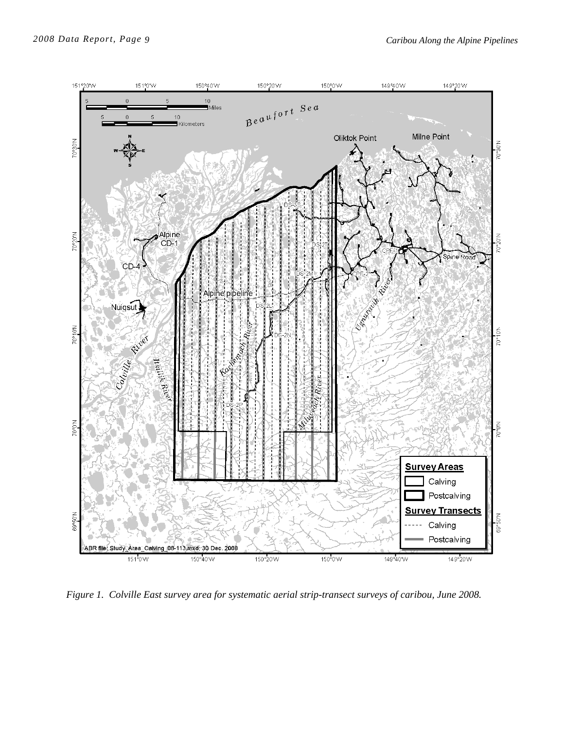

*Figure 1. Colville East survey area for systematic aerial strip-transect surveys of caribou, June 2008.*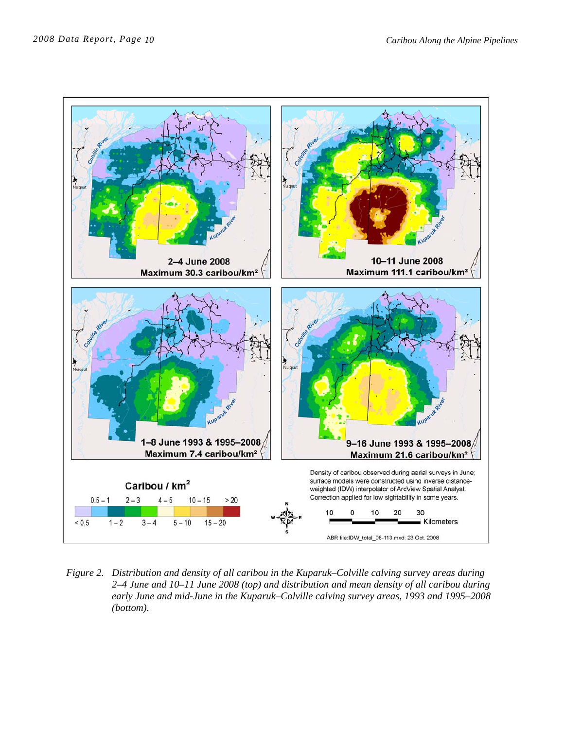

*Figure 2. Distribution and density of all caribou in the Kuparuk–Colville calving survey areas during 2–4 June and 10–11 June 2008 (top) and distribution and mean density of all caribou during early June and mid-June in the Kuparuk–Colville calving survey areas, 1993 and 1995–2008 (bottom).*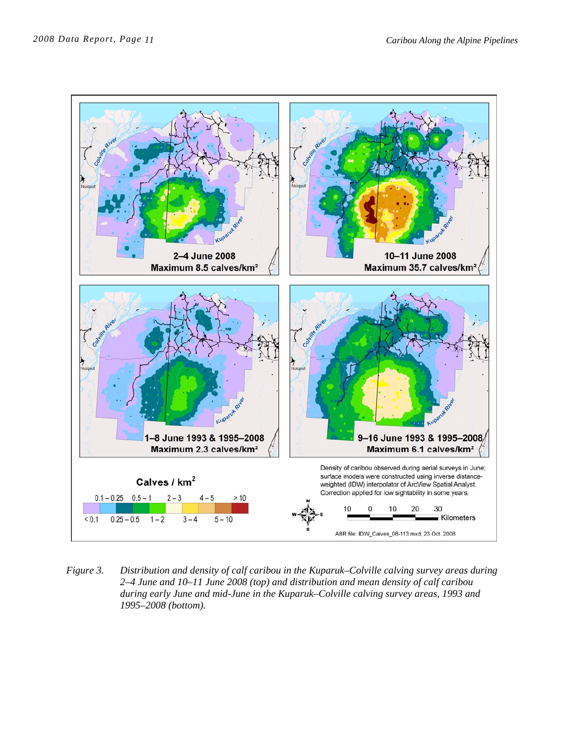

*Figure 3. Distribution and density of calf caribou in the Kuparuk–Colville calving survey areas during 2–4 June and 10–11 June 2008 (top) and distribution and mean density of calf caribou during early June and mid-June in the Kuparuk–Colville calving survey areas, 1993 and 1995–2008 (bottom).*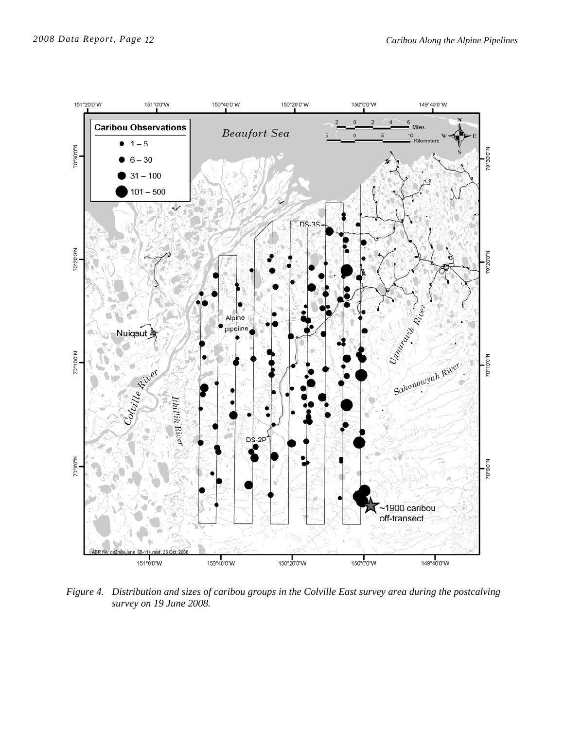

*Figure 4. Distribution and sizes of caribou groups in the Colville East survey area during the postcalving survey on 19 June 2008.*